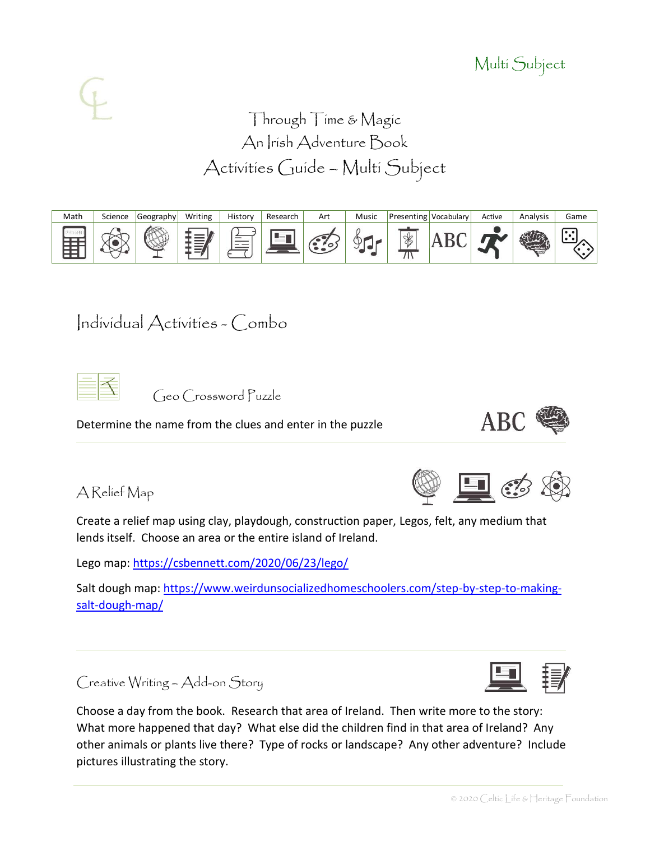# Multi Subject

# Through Time & Magic An Irish Adventure Book Activities Guide – Multi Subject



# Individual Activities - Combo

|--|

Geo Crossword Puzzle

Determine the name from the clues and enter in the puzzle

A Relief Map

Create a relief map using clay, playdough, construction paper, Legos, felt, any medium that lends itself. Choose an area or the entire island of Ireland.

Lego map:<https://csbennett.com/2020/06/23/lego/>

Salt dough map: [https://www.weirdunsocializedhomeschoolers.com/step-by-step-to-making](https://www.weirdunsocializedhomeschoolers.com/step-by-step-to-making-salt-dough-map/)[salt-dough-map/](https://www.weirdunsocializedhomeschoolers.com/step-by-step-to-making-salt-dough-map/)

Creative Writing – Add-on Story

Choose a day from the book. Research that area of Ireland. Then write more to the story: What more happened that day? What else did the children find in that area of Ireland? Any other animals or plants live there? Type of rocks or landscape? Any other adventure? Include pictures illustrating the story.







**ABC**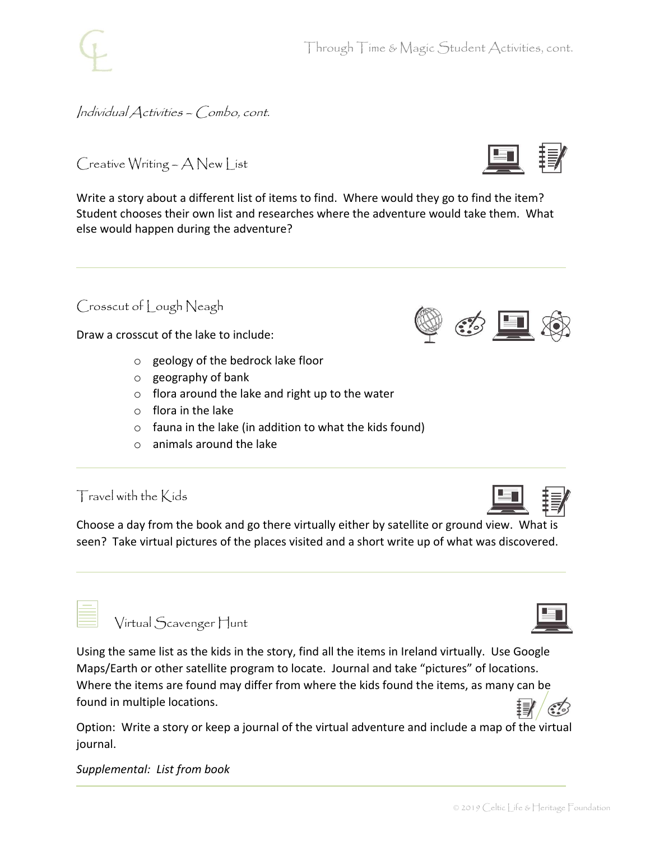Individual Activities – Combo, cont.

Creative Writing – A New List

Write a story about a different list of items to find. Where would they go to find the item? Student chooses their own list and researches where the adventure would take them. What else would happen during the adventure?

## Crosscut of Lough Neagh

Draw a crosscut of the lake to include:

- o geology of the bedrock lake floor
- o geography of bank
- $\circ$  flora around the lake and right up to the water
- o flora in the lake
- $\circ$  fauna in the lake (in addition to what the kids found)
- o animals around the lake

## Travel with the Kids

Choose a day from the book and go there virtually either by satellite or ground view. What is seen? Take virtual pictures of the places visited and a short write up of what was discovered.

| Virtual Scavenger Hunt |
|------------------------|
|------------------------|

Using the same list as the kids in the story, find all the items in Ireland virtually. Use Google Maps/Earth or other satellite program to locate. Journal and take "pictures" of locations. Where the items are found may differ from where the kids found the items, as many can be found in multiple locations.

Option: Write a story or keep a journal of the virtual adventure and include a map of the virtual journal.

*Supplemental: List from book*



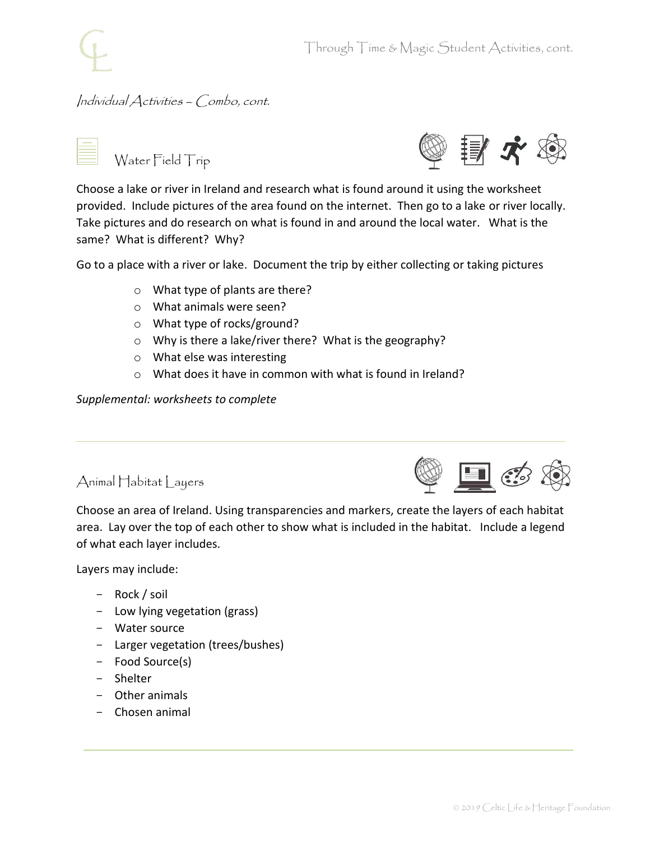#### Individual Activities – Combo, cont.



Water Field Trip



Choose a lake or river in Ireland and research what is found around it using the worksheet provided. Include pictures of the area found on the internet. Then go to a lake or river locally. Take pictures and do research on what is found in and around the local water. What is the same? What is different? Why?

Go to a place with a river or lake. Document the trip by either collecting or taking pictures

- o What type of plants are there?
- o What animals were seen?
- o What type of rocks/ground?
- o Why is there a lake/river there? What is the geography?
- o What else was interesting
- o What does it have in common with what is found in Ireland?

*Supplemental: worksheets to complete*

#### Animal Habitat Layers



Choose an area of Ireland. Using transparencies and markers, create the layers of each habitat area. Lay over the top of each other to show what is included in the habitat. Include a legend of what each layer includes.

Layers may include:

- Rock / soil
- Low lying vegetation (grass)
- Water source
- Larger vegetation (trees/bushes)
- Food Source(s)
- Shelter
- Other animals
- Chosen animal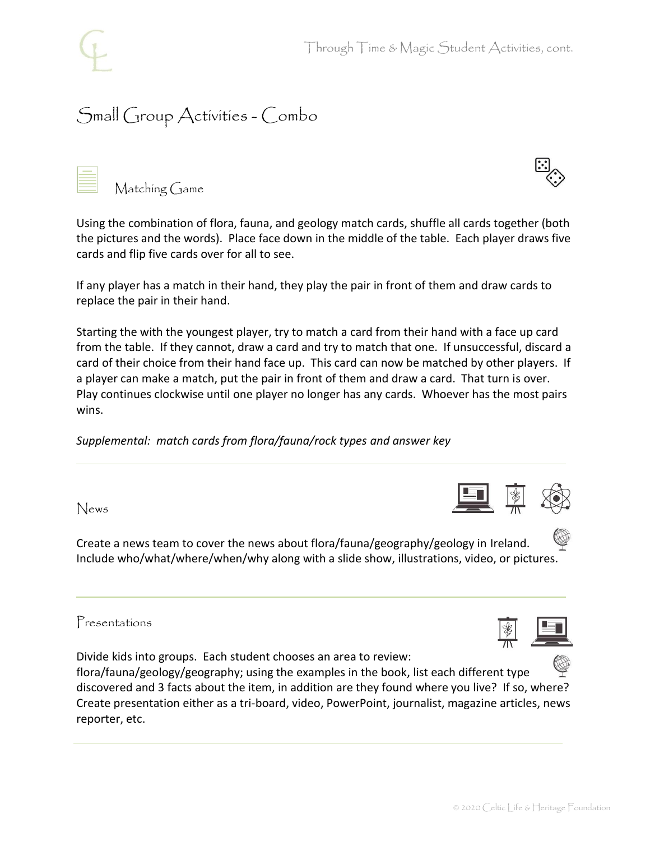# Small Group Activities - Combo

Matching Game

Using the combination of flora, fauna, and geology match cards, shuffle all cards together (both the pictures and the words). Place face down in the middle of the table. Each player draws five cards and flip five cards over for all to see.

If any player has a match in their hand, they play the pair in front of them and draw cards to replace the pair in their hand.

Starting the with the youngest player, try to match a card from their hand with a face up card from the table. If they cannot, draw a card and try to match that one. If unsuccessful, discard a card of their choice from their hand face up. This card can now be matched by other players. If a player can make a match, put the pair in front of them and draw a card. That turn is over. Play continues clockwise until one player no longer has any cards. Whoever has the most pairs wins.

*Supplemental: match cards from flora/fauna/rock types and answer key*

News

Create a news team to cover the news about flora/fauna/geography/geology in Ireland. Include who/what/where/when/why along with a slide show, illustrations, video, or pictures.

Presentations

Divide kids into groups. Each student chooses an area to review:

flora/fauna/geology/geography; using the examples in the book, list each different type discovered and 3 facts about the item, in addition are they found where you live? If so, where? Create presentation either as a tri-board, video, PowerPoint, journalist, magazine articles, news reporter, etc.





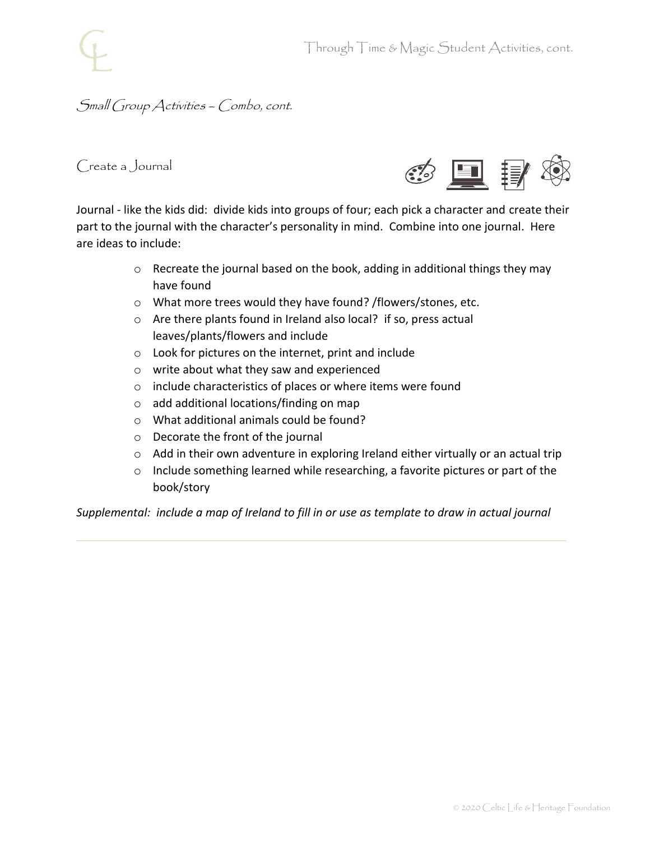### Small Group Activities – Combo, cont.

Create a Journal



Journal - like the kids did: divide kids into groups of four; each pick a character and create their part to the journal with the character's personality in mind. Combine into one journal. Here are ideas to include:

- o Recreate the journal based on the book, adding in additional things they may have found
- o What more trees would they have found? /flowers/stones, etc.
- o Are there plants found in Ireland also local? if so, press actual leaves/plants/flowers and include
- o Look for pictures on the internet, print and include
- o write about what they saw and experienced
- o include characteristics of places or where items were found
- o add additional locations/finding on map
- o What additional animals could be found?
- o Decorate the front of the journal
- $\circ$  Add in their own adventure in exploring Ireland either virtually or an actual trip
- o Include something learned while researching, a favorite pictures or part of the book/story

*Supplemental: include a map of Ireland to fill in or use as template to draw in actual journal*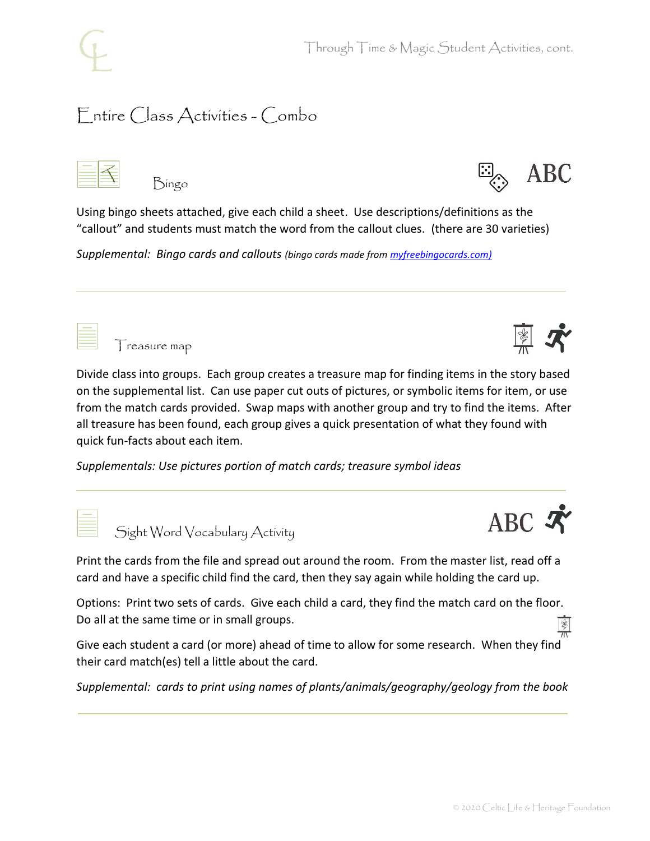Through Time & Magic Student Activities, cont.

## Entire Class Activities - Combo

|--|

Bingo



Using bingo sheets attached, give each child a sheet. Use descriptions/definitions as the "callout" and students must match the word from the callout clues. (there are 30 varieties)

*Supplemental: Bingo cards and callouts (bingo cards made fro[m myfreebingocards.com\)](https://myfreebingocards.com/)*



Treasure map

Divide class into groups. Each group creates a treasure map for finding items in the story based on the supplemental list. Can use paper cut outs of pictures, or symbolic items for item, or use from the match cards provided. Swap maps with another group and try to find the items. After all treasure has been found, each group gives a quick presentation of what they found with quick fun-facts about each item.

*Supplementals: Use pictures portion of match cards; treasure symbol ideas*



Sight Word Vocabulary Activity

Print the cards from the file and spread out around the room. From the master list, read off a card and have a specific child find the card, then they say again while holding the card up.

Options: Print two sets of cards. Give each child a card, they find the match card on the floor. Do all at the same time or in small groups.

Give each student a card (or more) ahead of time to allow for some research. When they find their card match(es) tell a little about the card.

*Supplemental: cards to print using names of plants/animals/geography/geology from the book*